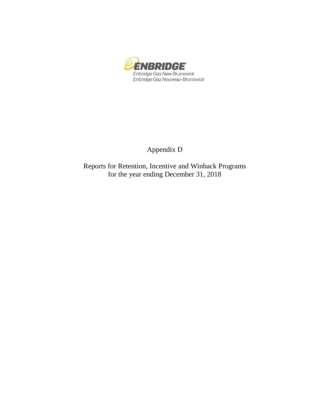

## Appendix D

Reports for Retention, Incentive and Winback Programs for the year ending December 31, 2018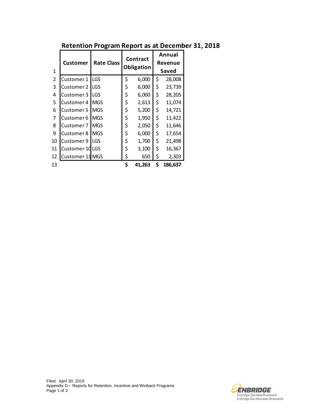|                | <b>Customer</b>   | <b>Rate Class</b> | <b>Contract</b> | Annual<br>Revenue |         |  |  |  |
|----------------|-------------------|-------------------|-----------------|-------------------|---------|--|--|--|
| 1              |                   |                   | Obligation      | Saved             |         |  |  |  |
| $\overline{2}$ | Customer 1        | <b>LGS</b>        | \$<br>6,000     | \$                | 28,008  |  |  |  |
| 3              | <b>Customer 2</b> | LGS               | \$<br>6,000     | \$                | 23,739  |  |  |  |
| 4              | Customer 3        | LGS               | \$<br>6,000     | \$                | 28,205  |  |  |  |
| 5              | Customer 4        | <b>MGS</b>        | \$<br>2,613     | \$                | 11,074  |  |  |  |
| 6              | Customer 5        | <b>MGS</b>        | \$<br>5,200     | \$                | 14,721  |  |  |  |
| 7              | Customer 6        | <b>MGS</b>        | \$<br>1,950     | \$                | 11,422  |  |  |  |
| 8              | Customer 7        | <b>MGS</b>        | \$<br>2,050     | \$                | 11,646  |  |  |  |
| 9              | <b>Customer 8</b> | <b>MGS</b>        | \$<br>6,000     | \$                | 17,654  |  |  |  |
| 10             | Customer 9        | LGS               | \$<br>1,700     | \$                | 21,498  |  |  |  |
| 11             | Customer 10LGS    |                   | \$<br>3,100     | \$                | 16,367  |  |  |  |
| 12             | Customer 11 MGS   |                   | \$<br>650       | \$                | 2,303   |  |  |  |
| 13             |                   |                   | \$<br>41,263    | \$                | 186,637 |  |  |  |

## **Retention Program Report as at December 31, 2018**

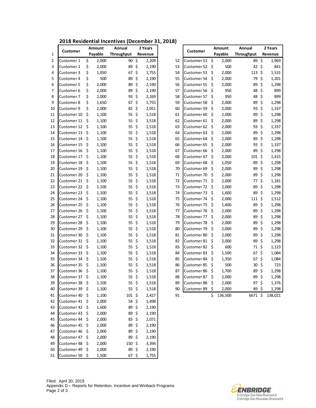| 2018 Residential Incentives (December 31, 2018) |  |
|-------------------------------------------------|--|
|-------------------------------------------------|--|

|    | Amount<br>Annual              |     | 2 Years        |                   |    | <b>Amount</b>  |    | Annual                     |         |         |                   |                           |                    |  |
|----|-------------------------------|-----|----------------|-------------------|----|----------------|----|----------------------------|---------|---------|-------------------|---------------------------|--------------------|--|
| 1  | <b>Customer</b>               |     | Payable        | <b>Throughput</b> |    | Revenue        |    | <b>Customer</b>            | Payable |         | <b>Throughput</b> |                           | 2 Years<br>Revenue |  |
| 2  | Customer 1                    | \$  | 2,000          | 90                | \$ | 2,209          | 52 | Customer 51 \$             |         | 2,000   | 89\$              |                           | 1,969              |  |
| 3  | Customer 2                    | \$  | 2,000          | 89                | \$ | 2,190          | 53 | Customer 52                | $\zeta$ | 500     | 42 \$             |                           | 841                |  |
| 4  | Customer 3                    | \$  | 1,050          | 67                | \$ | 1,755          | 54 | Customer 53                | \$      | 2,000   | $113 \; \text{S}$ |                           | 1,531              |  |
| 5  | Customer 4                    | \$  | 500            | 89                | \$ | 2,190          | 55 | Customer 54                | \$      | 2,000   | 79                | $\boldsymbol{\mathsf{S}}$ | 1,201              |  |
| 6  | Customer 5                    | \$  | 2,000          | 89                | \$ | 2,190          | 56 | Customer 55                | \$      | 2,000   | 89                | -\$                       | 1,298              |  |
| 7  | Customer 6                    | \$  | 2,000          | 89                | \$ | 2,190          | 57 | Customer 56                | \$      | 950     | 48                | $\ddot{\mathsf{S}}$       | 899                |  |
| 8  | Customer 7                    | \$  | 2,000          | 93                | \$ | 2,269          | 58 | Customer 57                | \$      | 950     | 48                | \$                        | 899                |  |
| 9  | Customer 8                    | \$  | 1,650          | 67                | \$ | 1,755          | 59 | Customer 58                | \$      | 2,000   | 89                | \$                        | 1,298              |  |
| 10 | Customer 9                    | \$  | 2,000          | 82                | \$ | 2,051          | 60 | Customer 59                | \$      | 2,000   | 93                | -\$                       | 1,337              |  |
| 11 | Customer 10                   | \$  | 1,100          | 55                | \$ | 1,518          | 61 | Customer 60                | \$      | 2,000   | 89                | \$                        | 1,298              |  |
| 12 | Customer 11                   | \$  | 1,100          | 55                | \$ | 1,518          | 62 | Customer 61                | \$      | 2,000   | 89                | \$                        | 1,298              |  |
| 13 | Customer 12                   | \$  | 1,100          | 55                | \$ | 1,518          | 63 | Customer 62                | \$      | 2,000   | 93 \$             |                           | 1,337              |  |
| 14 | Customer 13                   | \$  | 1,100          | 55                | \$ | 1,518          | 64 | Customer 63                | \$      | 2,000   | 89                | -\$                       | 1,298              |  |
| 15 | Customer 14                   | \$  | 1,100          | 55                | \$ | 1,518          | 65 | Customer 64                | \$      | 2,000   | 89 \$             |                           | 1,298              |  |
| 16 | Customer 15                   | \$  | 1,100          | 55                | \$ | 1,518          | 66 | Customer 65                | \$      | 2,000   | $93 \;$ \$        |                           | 1,337              |  |
| 17 | Customer 16                   | \$  | 1,100          | 55                | \$ | 1,518          | 67 | Customer 66                | \$      | 2,000   | 89                | $\ddot{\mathsf{S}}$       | 1,298              |  |
| 18 | Customer 17                   | \$. | 1,100          | 55                | \$ |                | 68 | Customer 67                | \$      | 2,000   | $101 \; \simeq$   |                           | 1,415              |  |
| 19 | Customer 18                   | \$  |                | 55                | \$ | 1,518          | 69 | Customer 68                | \$      | 1,050   | 89 \$             |                           | 1,298              |  |
| 20 | Customer 19                   | \$  | 1,100<br>1,100 | 55                | \$ | 1,518<br>1,518 | 70 | Customer 69                | \$      | 2,000   | 89                | $\zeta$                   | 1,298              |  |
| 21 | Customer 20                   | \$  | 1,100          | 55                | \$ | 1,518          | 71 | Customer 70                | \$      | 2,000   | 89                | $\zeta$                   | 1,298              |  |
| 22 | Customer 21                   | \$. | 1,100          | 55                | \$ | 1,518          | 72 |                            | $\zeta$ | 2,000   | $77 \;$ \$        |                           | 1,181              |  |
| 23 | Customer 22                   | \$. | 1,100          | 55                | \$ | 1,518          | 73 | Customer 71                | \$      | 2,000   | 89                | $\zeta$                   | 1,298              |  |
| 24 | Customer 23                   | \$  | 1,100          | 55                | \$ |                | 74 | Customer 72<br>Customer 73 | \$      | 1,600   | 89                | -\$                       | 1,298              |  |
| 25 | Customer 24                   | \$  | 1,100          | 55                | \$ | 1,518<br>1,518 | 75 | Customer 74                | \$      | 2,000   | $111 \;$ \$       |                           | 1,512              |  |
| 26 | Customer 25                   | \$  | 1,100          | 55                | \$ | 1,518          | 76 | Customer 75                | \$      | 1,400   | 89                | $\zeta$                   | 1,298              |  |
| 27 | Customer 26                   | \$  | 1,100          | 55                | \$ | 1,518          | 77 | Customer 76                | \$      | 2,000   | 89                | $\zeta$                   | 1,298              |  |
| 28 | Customer 27                   | -\$ | 1,100          | 55                | \$ | 1,518          | 78 | Customer 77                | \$      | 2,000   | 89                | \$                        | 1,298              |  |
| 29 | Customer 28                   | \$  | 1,100          | 55                | \$ | 1,518          | 79 | Customer 78                | \$      | 2,000   | 89                | \$                        | 1,298              |  |
| 30 | Customer 29                   | \$  | 1,100          | 55                | \$ | 1,518          | 80 | Customer 79                | \$      | 2,000   | 89                | \$                        | 1,298              |  |
| 31 | Customer 30                   | \$  | 1,100          | 55                | \$ | 1,518          | 81 | Customer 80                | \$      | 2,000   | 89                | \$                        | 1,298              |  |
| 32 | Customer 31                   | \$  | 1,100          | 55                | \$ | 1,518          | 82 | Customer 81                | \$      | 2,000   | 89                | $\zeta$                   | 1,298              |  |
| 33 | Customer 32                   | \$  | 1,100          | 55                | \$ | 1,518          | 83 | Customer 82                | \$      | 600     | 71, 5             |                           | 1,123              |  |
| 34 | Customer 33                   | \$  | 1,100          | 55                | \$ | 1,518          | 84 | Customer 83                | \$      | 1,500   | 67                | $\zeta$                   | 1,084              |  |
| 35 | Customer 34                   | \$  | 1,100          | 55                | \$ | 1,518          | 85 | Customer 84                | \$      | 1,350   | 67                | $\ddot{\varsigma}$        | 1,084              |  |
| 36 | Customer 35                   | \$  | 1,100          | 55                | \$ | 1,518          | 86 | Customer 85                | \$      | 500     | 30                | $\zeta$                   | 723                |  |
| 37 | Customer 36                   | \$  | 1,100          | 55 \$             |    | 1,518          | 87 | Customer 86                | -\$     | 1,700   | 89\$              |                           | 1,298              |  |
| 38 | Customer 37 \$                |     | 1,100          | 55 \$             |    | 1,518          | 88 | Customer 87 \$             |         | 2,000   | 89\$              |                           | 1,298              |  |
| 39 | Customer 38                   | \$  | 1,100          | 55 \$             |    | 1,518          | 89 | Customer 88 \$             |         | 2,000   | 97\$              |                           | 1,376              |  |
| 40 | Customer 39 \$                |     | 1,100          | 55 \$             |    | 1,518          | 90 | Customer 89                | \$      | 2,000   | 89\$              |                           | 1,298              |  |
|    |                               |     |                | 101 \$            |    |                | 91 |                            | \$      |         |                   |                           |                    |  |
| 41 | Customer 40<br>Customer 41 \$ | -\$ | 1,100          |                   |    | 2,427          |    |                            |         | 136,500 | 6671\$            |                           | 138,021            |  |
| 42 |                               |     | 2,000          | $54 \; \$$        |    | 1,498          |    |                            |         |         |                   |                           |                    |  |
| 43 | Customer 42                   | \$  | 1,600          | 89\$              |    | 2,190          |    |                            |         |         |                   |                           |                    |  |
| 44 | Customer 43                   | \$  | 2,000          | 89\$              |    | 2,190          |    |                            |         |         |                   |                           |                    |  |
| 45 | Customer 44                   | \$. | 2,000          | $83 \; \zeta$     |    | 2,071          |    |                            |         |         |                   |                           |                    |  |
| 46 | Customer 45                   | -\$ | 2,000          | 89\$              |    | 2,190          |    |                            |         |         |                   |                           |                    |  |
| 47 | Customer 46 \$                |     | 2,000          | 89\$              |    | 2,190          |    |                            |         |         |                   |                           |                    |  |
| 48 | Customer 47 \$                |     | 2,000          | 89\$              |    | 2,190          |    |                            |         |         |                   |                           |                    |  |
| 49 | Customer 48                   | -\$ | 2,000          | $150 \; \text{S}$ |    | 3,394          |    |                            |         |         |                   |                           |                    |  |
| 50 | Customer 49 \$                |     | 2,000          | 89\$              |    | 2,190          |    |                            |         |         |                   |                           |                    |  |
| 51 | Customer 50 \$                |     | 1,500          | 67, 5             |    | 1,755          |    |                            |         |         |                   |                           |                    |  |